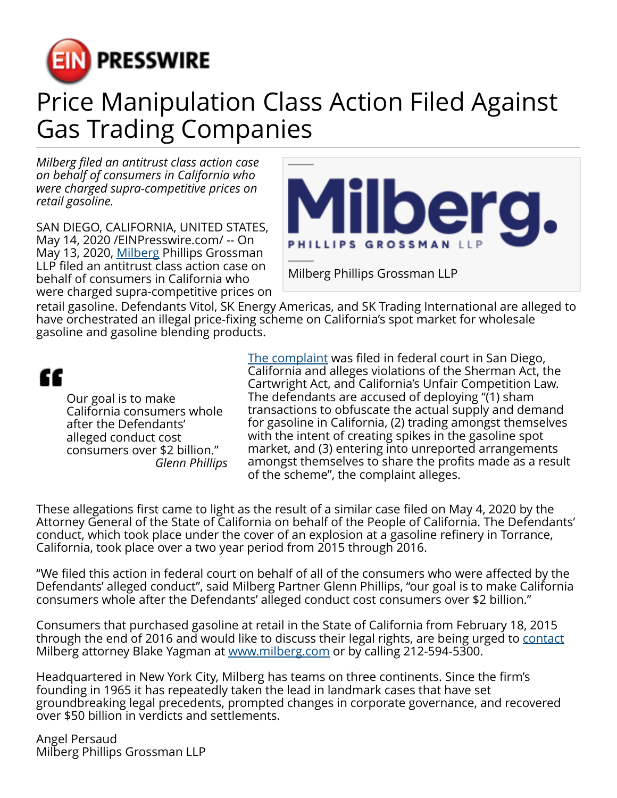

## Price Manipulation Class Action Filed Against Gas Trading Companies

*Milberg filed an antitrust class action case on behalf of consumers in California who were charged supra-competitive prices on retail gasoline.*

SAN DIEGO, CALIFORNIA, UNITED STATES, May 14, 2020 [/EINPresswire.com](http://www.einpresswire.com)/ -- On May 13, 2020, [Milberg](https://milberg.com/about-us/) Phillips Grossman LLP filed an antitrust class action case on behalf of consumers in California who were charged supra-competitive prices on



retail gasoline. Defendants Vitol, SK Energy Americas, and SK Trading International are alleged to have orchestrated an illegal price-fixing scheme on California's spot market for wholesale gasoline and gasoline blending products.

## ££

Our goal is to make California consumers whole after the Defendants' alleged conduct cost consumers over \$2 billion." *Glenn Phillips* [The complaint](https://milberg.com/wp-content/uploads/sites/2/2020/05/MILBERG-Price-Manipulation-Class-Action-Filed-Against-Gas-Trading-Companies.pdf) was filed in federal court in San Diego, California and alleges violations of the Sherman Act, the Cartwright Act, and California's Unfair Competition Law. The defendants are accused of deploying "(1) sham transactions to obfuscate the actual supply and demand for gasoline in California, (2) trading amongst themselves with the intent of creating spikes in the gasoline spot market, and (3) entering into unreported arrangements amongst themselves to share the profits made as a result of the scheme", the complaint alleges.

These allegations first came to light as the result of a similar case filed on May 4, 2020 by the Attorney General of the State of California on behalf of the People of California. The Defendants' conduct, which took place under the cover of an explosion at a gasoline refinery in Torrance, California, took place over a two year period from 2015 through 2016.

"We filed this action in federal court on behalf of all of the consumers who were affected by the Defendants' alleged conduct", said Milberg Partner Glenn Phillips, "our goal is to make California consumers whole after the Defendants' alleged conduct cost consumers over \$2 billion."

Consumers that purchased gasoline at retail in the State of California from February 18, 2015 through the end of 2016 and would like to discuss their legal rights, are being urged to [contact](https://milberg.com/contact-us/) Milberg attorney Blake Yagman at [www.milberg.com](http://www.milberg.com) or by calling 212-594-5300.

Headquartered in New York City, Milberg has teams on three continents. Since the firm's founding in 1965 it has repeatedly taken the lead in landmark cases that have set groundbreaking legal precedents, prompted changes in corporate governance, and recovered over \$50 billion in verdicts and settlements.

Angel Persaud Milberg Phillips Grossman LLP